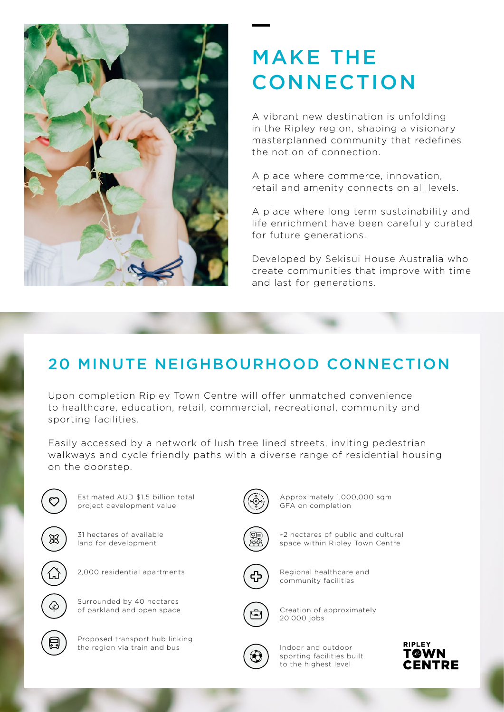

# MAKE THE **CONNECTION**

A vibrant new destination is unfolding in the Ripley region, shaping a visionary masterplanned community that redefines the notion of connection.

A place where commerce, innovation, retail and amenity connects on all levels.

A place where long term sustainability and life enrichment have been carefully curated for future generations.

Developed by Sekisui House Australia who create communities that improve with time and last for generations.

### 20 MINUTE NEIGHBOURHOOD CONNECTION

Upon completion Ripley Town Centre will offer unmatched convenience to healthcare, education, retail, commercial, recreational, community and sporting facilities.

Easily accessed by a network of lush tree lined streets, inviting pedestrian walkways and cycle friendly paths with a diverse range of residential housing on the doorstep.



Estimated AUD \$1.5 billion total project development value



31 hectares of available land for development



2,000 residential apartments



Proposed transport hub linking the region via train and bus



Approximately 1,000,000 sqm GFA on completion



~2 hectares of public and cultural space within Ripley Town Centre



Regional healthcare and community facilities



Creation of approximately 20,000 jobs

Indoor and outdoor sporting facilities built to the highest level